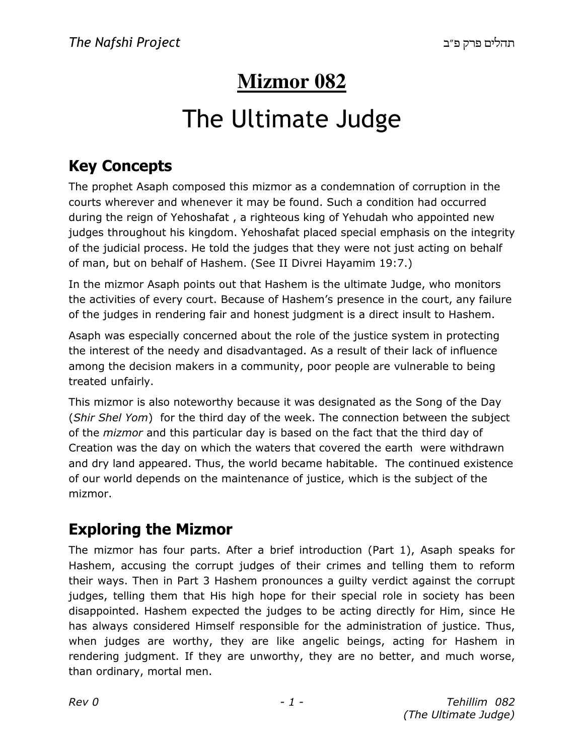# **Mizmor 082**

# The Ultimate Judge

### **Key Concepts**

The prophet Asaph composed this mizmor as a condemnation of corruption in the courts wherever and whenever it may be found. Such a condition had occurred during the reign of Yehoshafat , a righteous king of Yehudah who appointed new judges throughout his kingdom. Yehoshafat placed special emphasis on the integrity of the judicial process. He told the judges that they were not just acting on behalf of man, but on behalf of Hashem. (See II Divrei Hayamim 19:7.)

In the mizmor Asaph points out that Hashem is the ultimate Judge, who monitors the activities of every court. Because of Hashem's presence in the court, any failure of the judges in rendering fair and honest judgment is a direct insult to Hashem.

Asaph was especially concerned about the role of the justice system in protecting the interest of the needy and disadvantaged. As a result of their lack of influence among the decision makers in a community, poor people are vulnerable to being treated unfairly.

This mizmor is also noteworthy because it was designated as the Song of the Day (*Shir Shel Yom*) for the third day of the week. The connection between the subject of the *mizmor* and this particular day is based on the fact that the third day of Creation was the day on which the waters that covered the earth were withdrawn and dry land appeared. Thus, the world became habitable. The continued existence of our world depends on the maintenance of justice, which is the subject of the mizmor.

## **Exploring the Mizmor**

The mizmor has four parts. After a brief introduction (Part 1), Asaph speaks for Hashem, accusing the corrupt judges of their crimes and telling them to reform their ways. Then in Part 3 Hashem pronounces a guilty verdict against the corrupt judges, telling them that His high hope for their special role in society has been disappointed. Hashem expected the judges to be acting directly for Him, since He has always considered Himself responsible for the administration of justice. Thus, when judges are worthy, they are like angelic beings, acting for Hashem in rendering judgment. If they are unworthy, they are no better, and much worse, than ordinary, mortal men.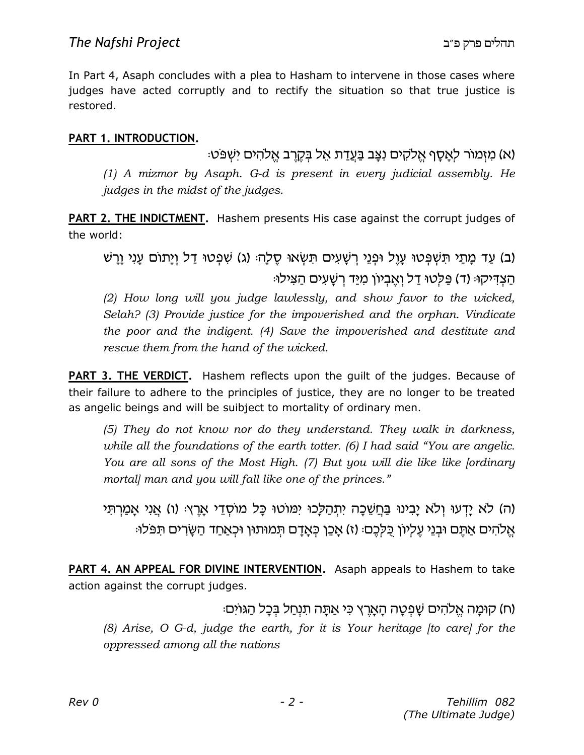In Part 4, Asaph concludes with a plea to Hasham to intervene in those cases where judges have acted corruptly and to rectify the situation so that true justice is restored.

#### **PART 1. INTRODUCTION.**

(א) מִזְמוֹר לְאֵסֵף אֱלֹקִים נְצַב בַּעֲדַת אֵל בִּקְרֶב אֱלֹהִים יְשָׁפֹּטִ: *(1) A mizmor by Asaph. G-d is present in every judicial assembly. He judges in the midst of the judges.*

**PART 2. THE INDICTMENT.** Hashem presents His case against the corrupt judges of the world:

(ב) עַד מַתַי תִּשְׁפָּטוּ עַוֶל וּפְנֵי רְשַׁעִים תִּשְׂאוּ סֶלַה: (ג) שְׁפָטוּ דַל וְיַתוֹם עַנִי וַרַשׁ ּהַצְדִּיקוּּ (ד) פַּלְטוּ דַל וְאֱבְיוֹן מִיַּד רְשַׁעִים הַצִּילוּ

*(2) How long will you judge lawlessly, and show favor to the wicked, Selah? (3) Provide justice for the impoverished and the orphan. Vindicate the poor and the indigent. (4) Save the impoverished and destitute and rescue them from the hand of the wicked.* 

**PART 3. THE VERDICT.** Hashem reflects upon the guilt of the judges. Because of their failure to adhere to the principles of justice, they are no longer to be treated as angelic beings and will be suibject to mortality of ordinary men.

*(5) They do not know nor do they understand. They walk in darkness, while all the foundations of the earth totter. (6) I had said "You are angelic. You are all sons of the Most High. (7) But you will die like like [ordinary mortal] man and you will fall like one of the princes."*

(ה) לא יַדעוּ ולא יַבִינוּ בַּחֲשֵׁכַּה יִתְהַלָּכוּ יִמּוֹטוּ כָּל מוֹסְדֵי אָרֵץ: (ו) אֲנִי אָמַרְתִּי אֱלֹהִים אֲתֵם וּבְנֵי עֱלִיוֹן כְּלִכֶם: (ז) אֲכֶן כְּאֲדַם תְּמוּתוּן וּכְאֲחַד הַשַּׂרִים תִּפּלוּ:

**PART 4. AN APPEAL FOR DIVINE INTERVENTION.** Asaph appeals to Hashem to take action against the corrupt judges.

ּוֹמַה אֱלֹהִים שַׁפְטַה הַאֲרֵץ כִּי אַתַּה תִנְחַל בְּכַל הַגּוֹיִם) (ח

*(8) Arise, O G-d, judge the earth, for it is Your heritage [to care] for the oppressed among all the nations*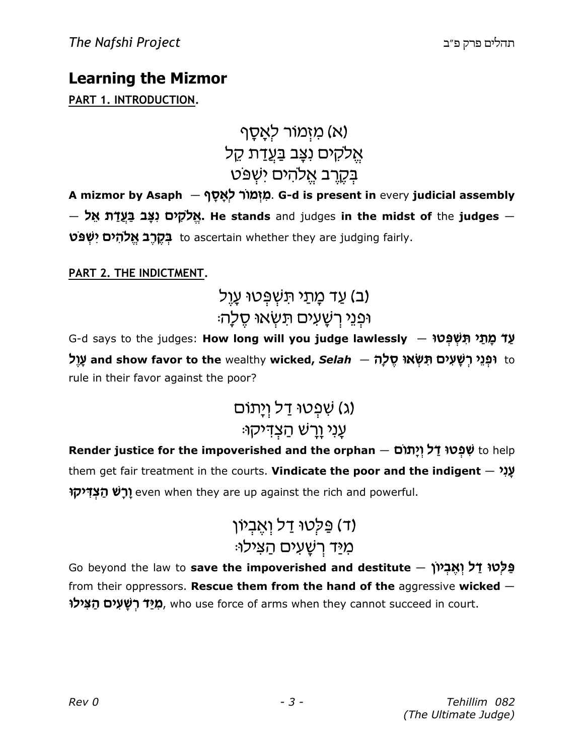### **Learning the Mizmor**

#### **PART 1. INTRODUCTION.**

א) מזִמוֹר לִאֲסָף ( אֵלקים נצָב בַּ<u>עֲד</u>ת קֵל בִקֱרֵב אֱלהים יִשְפּט

**A mizmor by Asaph** — **; -x -tk r«unz 
n**. **G-d is present in** every **judicial assembly**  $-$  **Mֵלֹקִים נִצָּב בַּעֲדַֿת אֵל. He stands** and judges **in the midst of** the **judges**. **vפֿט בּקרב אֱלהים יִשְׁפּט** to ascertain whether they are judging fairly.

#### **PART 2. THE INDICTMENT.**

# (ב) עַד מָתַי תּשִׁפְּטוּ עָוֵל  $\psi$ וּפְנֵי רְשַׁעִים תַּשָׂאוּ סֵלַה

G-d says to the judges: **How long will you judge lawlessly — עַד מָתַי תִּשְׁפְּטוּ k u-g and show favor to the** wealthy **wicked,** *Selah* — **v-k x Ut G 
T oh 
g -J r hb pU** to rule in their favor against the poor?

# (ג) שִׁפְטוּ דַל וְיַתוֹם ּעֲנִי וָרָשׁ הַצְדִּיקוּ

**Render justice for the impoverished and the orphan** — **o«u,-h u k s Uy p 
J** to help them get fair treatment in the courts. **Vindicate the poor and the indigent** — **h
b-g יָרָשׁ הַצְדִּיקוּ** even when they are up against the rich and powerful.

# ד) פּלְטוּ דַל וְאֵבִיוֹן) מיד רשעים הצילו

Go beyond the law to save the impoverished and destitute – מְלָטוּ דַל וְאֵבְיוֹן from their oppressors. **Rescue them from the hand of the** aggressive **wicked** — **מִיַּד רְשָׁעִים הַצִּילוֹ,** who use force of arms when they cannot succeed in court.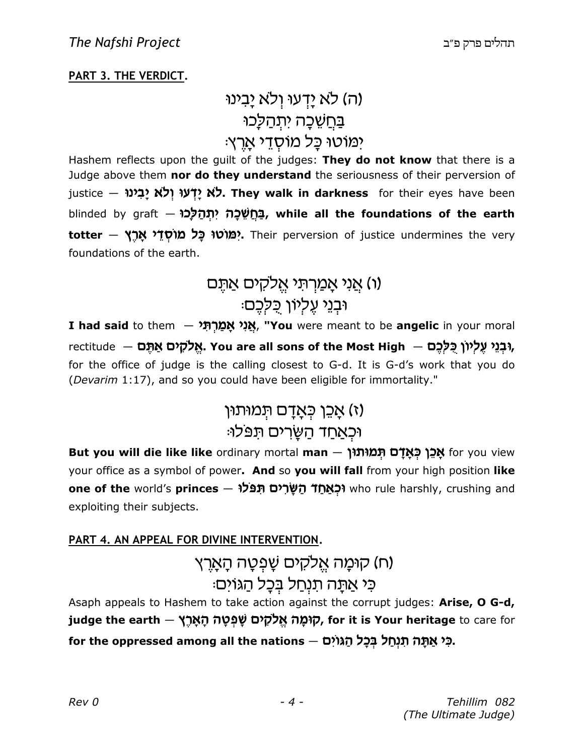#### **PART 3. THE VERDICT.**

## (ה) לא יַדְעוּ וְלֹא יַבִינוּ בַּחֲשֵׁכָה יִתְהַלַּכוּ ימוטו כַּל מוֹסְדֵי אֲרֵץ:

Hashem reflects upon the guilt of the judges: **They do not know** that there is a Judge above them **nor do they understand** the seriousness of their perversion of justice – לא יָ**דְעוּ וְלֹא יָבִינוּ. They walk in darkness** for their eyes have been blinded by graft — **Uf-K v ,
h v-f JjC, while all the foundations of the earth totter — יְמּוֹטוּ כָּל מוֹסְדֵי אָרֶץ. Their perversion of justice undermines the very** foundations of the earth.

# (ו) אַני אָמַרִתּי אֵלקים אַתֵּם וּבנֵי עֵלִיוֹן כֵּלְכֵם:

 ${\bf I}$  **had said** to them — אֲגַי אֲמַרְתָּי, "**You** were meant to be **angelic** in your moral rectitude — יִ**ּבְנֵי עֵלְיוֹן כְּלַכֵם, You are all sons of the Most High – נִ<b>בְנֵי עֵלְיוֹן כְּל**ָ for the office of judge is the calling closest to G-d. It is G-d's work that you do (*Devarim* 1:17), and so you could have been eligible for immortality."

### וז) אַכֵן כִּאָדָם תְּמוּתוּן) וּכְ<u>אַחַד הַש</u>ַּרים תּפּלוּ:

**But you will die like like** ordinary mortal **man — אֲכֵן כְּאָדָם תְּמוּתוּן f**or you view your office as a symbol of power**. And** so **you will fall** from your high position **like one of the** world's **princes — <b>הַשְּׂרִים תִּפּלוּ** who rule harshly, crushing and exploiting their subjects.

#### **PART 4. AN APPEAL FOR DIVINE INTERVENTION.**

# (ח) קוּמַה אֱלקים שַׁפְטַה הָאָרֶץ כִּי אֲתָה תִנְחַל בְּכָל הַגּוֹיִם:

Asaph appeals to Hashem to take action against the corrupt judges: **Arise, O G-d, iudge the earth — קױמָה אֱלֹקִים שָׁפְטָה הָאָרֶץ, for it is Your heritage** to care for for the oppressed among all the nations — ב*ִּי אֲתָּה תִּנְחַל בְּבָל הַגּוֹיִם.*